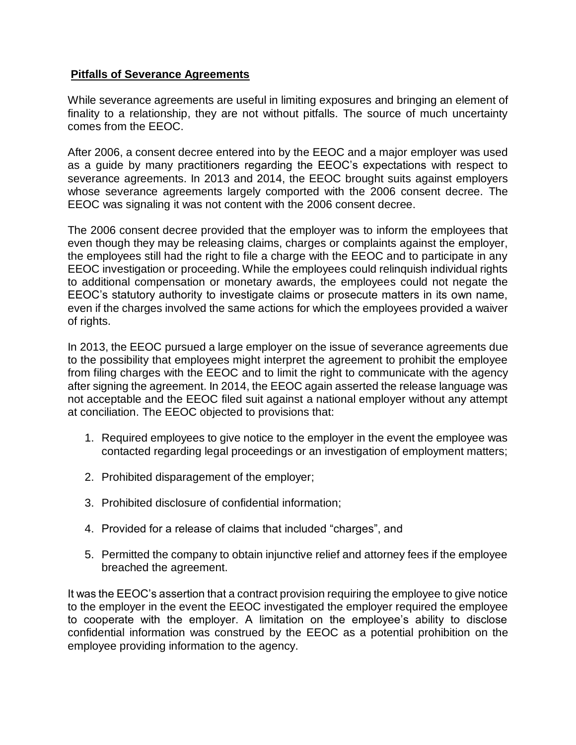## **Pitfalls of Severance Agreements**

While severance agreements are useful in limiting exposures and bringing an element of finality to a relationship, they are not without pitfalls. The source of much uncertainty comes from the EEOC.

After 2006, a consent decree entered into by the EEOC and a major employer was used as a guide by many practitioners regarding the EEOC's expectations with respect to severance agreements. In 2013 and 2014, the EEOC brought suits against employers whose severance agreements largely comported with the 2006 consent decree. The EEOC was signaling it was not content with the 2006 consent decree.

The 2006 consent decree provided that the employer was to inform the employees that even though they may be releasing claims, charges or complaints against the employer, the employees still had the right to file a charge with the EEOC and to participate in any EEOC investigation or proceeding. While the employees could relinquish individual rights to additional compensation or monetary awards, the employees could not negate the EEOC's statutory authority to investigate claims or prosecute matters in its own name, even if the charges involved the same actions for which the employees provided a waiver of rights.

In 2013, the EEOC pursued a large employer on the issue of severance agreements due to the possibility that employees might interpret the agreement to prohibit the employee from filing charges with the EEOC and to limit the right to communicate with the agency after signing the agreement. In 2014, the EEOC again asserted the release language was not acceptable and the EEOC filed suit against a national employer without any attempt at conciliation. The EEOC objected to provisions that:

- 1. Required employees to give notice to the employer in the event the employee was contacted regarding legal proceedings or an investigation of employment matters;
- 2. Prohibited disparagement of the employer;
- 3. Prohibited disclosure of confidential information;
- 4. Provided for a release of claims that included "charges", and
- 5. Permitted the company to obtain injunctive relief and attorney fees if the employee breached the agreement.

It was the EEOC's assertion that a contract provision requiring the employee to give notice to the employer in the event the EEOC investigated the employer required the employee to cooperate with the employer. A limitation on the employee's ability to disclose confidential information was construed by the EEOC as a potential prohibition on the employee providing information to the agency.